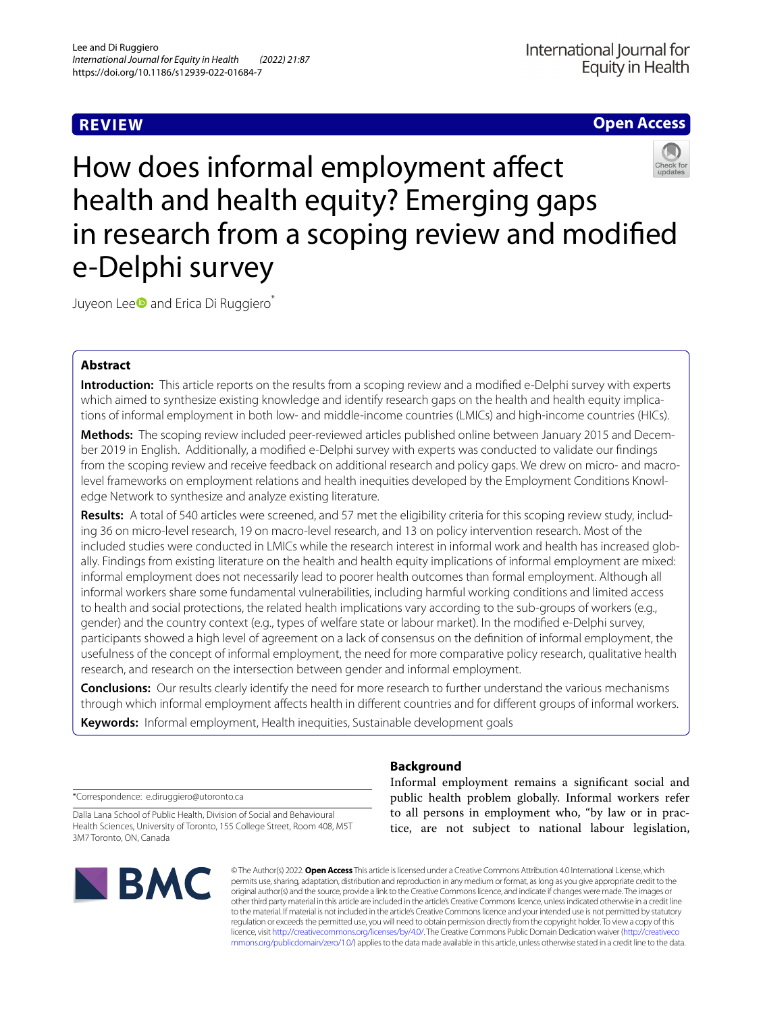# **REVIEW**

## **Open Access**



How does informal employment afect health and health equity? Emerging gaps in research from a scoping review and modifed e-Delphi survey

Juyeon Lee<sup>o</sup> and Erica Di Ruggiero<sup>\*</sup>

## **Abstract**

**Introduction:** This article reports on the results from a scoping review and a modifed e-Delphi survey with experts which aimed to synthesize existing knowledge and identify research gaps on the health and health equity implications of informal employment in both low- and middle-income countries (LMICs) and high-income countries (HICs).

**Methods:** The scoping review included peer-reviewed articles published online between January 2015 and December 2019 in English. Additionally, a modifed e-Delphi survey with experts was conducted to validate our fndings from the scoping review and receive feedback on additional research and policy gaps. We drew on micro- and macrolevel frameworks on employment relations and health inequities developed by the Employment Conditions Knowledge Network to synthesize and analyze existing literature.

**Results:** A total of 540 articles were screened, and 57 met the eligibility criteria for this scoping review study, including 36 on micro-level research, 19 on macro-level research, and 13 on policy intervention research. Most of the included studies were conducted in LMICs while the research interest in informal work and health has increased globally. Findings from existing literature on the health and health equity implications of informal employment are mixed: informal employment does not necessarily lead to poorer health outcomes than formal employment. Although all informal workers share some fundamental vulnerabilities, including harmful working conditions and limited access to health and social protections, the related health implications vary according to the sub-groups of workers (e.g., gender) and the country context (e.g., types of welfare state or labour market). In the modifed e-Delphi survey, participants showed a high level of agreement on a lack of consensus on the defnition of informal employment, the usefulness of the concept of informal employment, the need for more comparative policy research, qualitative health research, and research on the intersection between gender and informal employment.

**Conclusions:** Our results clearly identify the need for more research to further understand the various mechanisms through which informal employment afects health in diferent countries and for diferent groups of informal workers.

**Keywords:** Informal employment, Health inequities, Sustainable development goals

## **Background**

\*Correspondence: e.diruggiero@utoronto.ca

Dalla Lana School of Public Health, Division of Social and Behavioural Health Sciences, University of Toronto, 155 College Street, Room 408, M5T 3M7 Toronto, ON, Canada



Informal employment remains a signifcant social and public health problem globally. Informal workers refer to all persons in employment who, "by law or in practice, are not subject to national labour legislation,

© The Author(s) 2022. **Open Access** This article is licensed under a Creative Commons Attribution 4.0 International License, which permits use, sharing, adaptation, distribution and reproduction in any medium or format, as long as you give appropriate credit to the original author(s) and the source, provide a link to the Creative Commons licence, and indicate if changes were made. The images or other third party material in this article are included in the article's Creative Commons licence, unless indicated otherwise in a credit line to the material. If material is not included in the article's Creative Commons licence and your intended use is not permitted by statutory regulation or exceeds the permitted use, you will need to obtain permission directly from the copyright holder. To view a copy of this licence, visit [http://creativecommons.org/licenses/by/4.0/.](http://creativecommons.org/licenses/by/4.0/) The Creative Commons Public Domain Dedication waiver ([http://creativeco](http://creativecommons.org/publicdomain/zero/1.0/) [mmons.org/publicdomain/zero/1.0/](http://creativecommons.org/publicdomain/zero/1.0/)) applies to the data made available in this article, unless otherwise stated in a credit line to the data.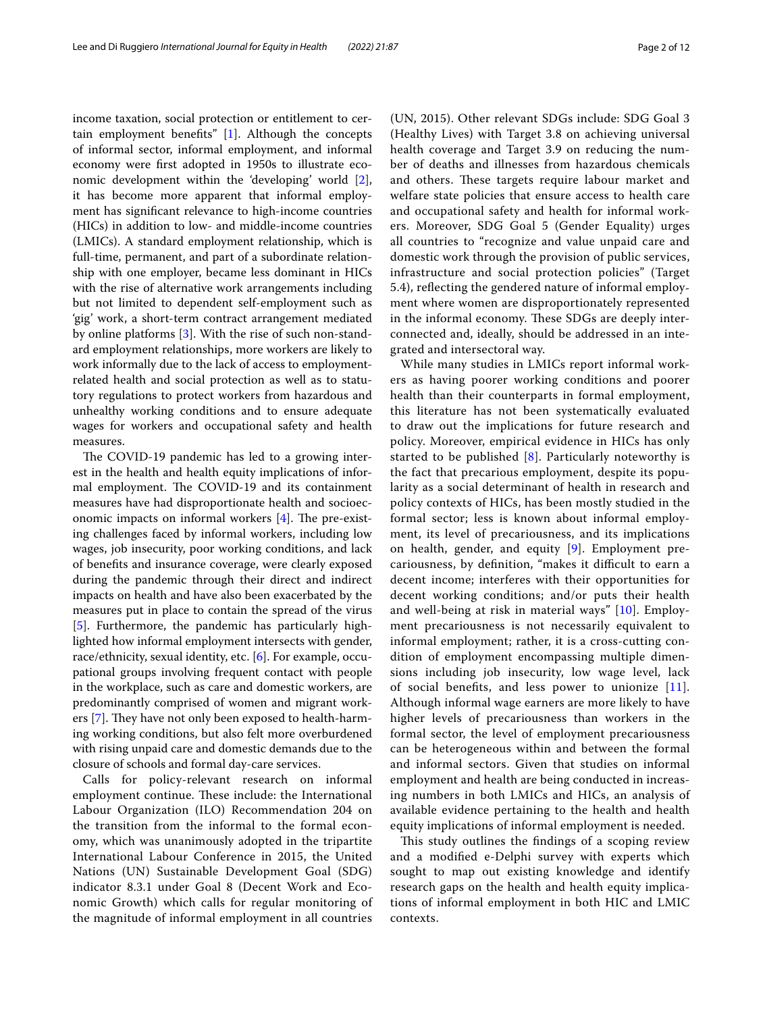income taxation, social protection or entitlement to certain employment benefts" [[1\]](#page-10-0). Although the concepts of informal sector, informal employment, and informal economy were frst adopted in 1950s to illustrate economic development within the 'developing' world [\[2](#page-10-1)], it has become more apparent that informal employment has signifcant relevance to high-income countries (HICs) in addition to low- and middle-income countries (LMICs). A standard employment relationship, which is full-time, permanent, and part of a subordinate relationship with one employer, became less dominant in HICs with the rise of alternative work arrangements including but not limited to dependent self-employment such as 'gig' work, a short-term contract arrangement mediated by online platforms [[3\]](#page-10-2). With the rise of such non-standard employment relationships, more workers are likely to work informally due to the lack of access to employmentrelated health and social protection as well as to statutory regulations to protect workers from hazardous and unhealthy working conditions and to ensure adequate wages for workers and occupational safety and health measures.

The COVID-19 pandemic has led to a growing interest in the health and health equity implications of informal employment. The COVID-19 and its containment measures have had disproportionate health and socioeconomic impacts on informal workers  $[4]$  $[4]$ . The pre-existing challenges faced by informal workers, including low wages, job insecurity, poor working conditions, and lack of benefts and insurance coverage, were clearly exposed during the pandemic through their direct and indirect impacts on health and have also been exacerbated by the measures put in place to contain the spread of the virus [[5\]](#page-10-4). Furthermore, the pandemic has particularly highlighted how informal employment intersects with gender, race/ethnicity, sexual identity, etc. [\[6](#page-10-5)]. For example, occupational groups involving frequent contact with people in the workplace, such as care and domestic workers, are predominantly comprised of women and migrant work-ers [\[7](#page-10-6)]. They have not only been exposed to health-harming working conditions, but also felt more overburdened with rising unpaid care and domestic demands due to the closure of schools and formal day-care services.

Calls for policy-relevant research on informal employment continue. These include: the International Labour Organization (ILO) Recommendation 204 on the transition from the informal to the formal economy, which was unanimously adopted in the tripartite International Labour Conference in 2015, the United Nations (UN) Sustainable Development Goal (SDG) indicator 8.3.1 under Goal 8 (Decent Work and Economic Growth) which calls for regular monitoring of the magnitude of informal employment in all countries (UN, 2015). Other relevant SDGs include: SDG Goal 3 (Healthy Lives) with Target 3.8 on achieving universal health coverage and Target 3.9 on reducing the number of deaths and illnesses from hazardous chemicals and others. These targets require labour market and welfare state policies that ensure access to health care and occupational safety and health for informal workers. Moreover, SDG Goal 5 (Gender Equality) urges all countries to "recognize and value unpaid care and domestic work through the provision of public services, infrastructure and social protection policies" (Target 5.4), refecting the gendered nature of informal employment where women are disproportionately represented in the informal economy. These SDGs are deeply interconnected and, ideally, should be addressed in an integrated and intersectoral way.

While many studies in LMICs report informal workers as having poorer working conditions and poorer health than their counterparts in formal employment, this literature has not been systematically evaluated to draw out the implications for future research and policy. Moreover, empirical evidence in HICs has only started to be published  $[8]$  $[8]$ . Particularly noteworthy is the fact that precarious employment, despite its popularity as a social determinant of health in research and policy contexts of HICs, has been mostly studied in the formal sector; less is known about informal employment, its level of precariousness, and its implications on health, gender, and equity [[9](#page-10-8)]. Employment precariousness, by definition, "makes it difficult to earn a decent income; interferes with their opportunities for decent working conditions; and/or puts their health and well-being at risk in material ways" [[10\]](#page-10-9). Employment precariousness is not necessarily equivalent to informal employment; rather, it is a cross-cutting condition of employment encompassing multiple dimensions including job insecurity, low wage level, lack of social benefts, and less power to unionize [[11\]](#page-10-10). Although informal wage earners are more likely to have higher levels of precariousness than workers in the formal sector, the level of employment precariousness can be heterogeneous within and between the formal and informal sectors. Given that studies on informal employment and health are being conducted in increasing numbers in both LMICs and HICs, an analysis of available evidence pertaining to the health and health equity implications of informal employment is needed.

This study outlines the findings of a scoping review and a modifed e-Delphi survey with experts which sought to map out existing knowledge and identify research gaps on the health and health equity implications of informal employment in both HIC and LMIC contexts.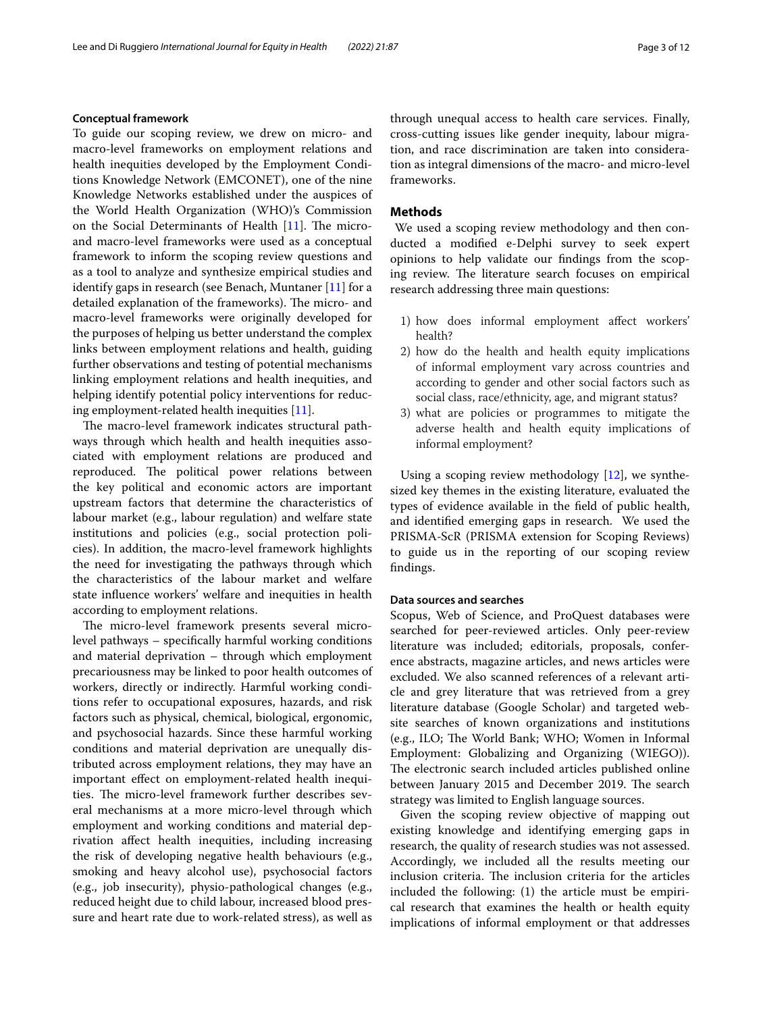## **Conceptual framework**

To guide our scoping review, we drew on micro- and macro-level frameworks on employment relations and health inequities developed by the Employment Conditions Knowledge Network (EMCONET), one of the nine Knowledge Networks established under the auspices of the World Health Organization (WHO)'s Commission on the Social Determinants of Health [\[11](#page-10-10)]. The microand macro-level frameworks were used as a conceptual framework to inform the scoping review questions and as a tool to analyze and synthesize empirical studies and identify gaps in research (see Benach, Muntaner [[11\]](#page-10-10) for a detailed explanation of the frameworks). The micro- and macro-level frameworks were originally developed for the purposes of helping us better understand the complex links between employment relations and health, guiding further observations and testing of potential mechanisms linking employment relations and health inequities, and helping identify potential policy interventions for reducing employment-related health inequities [\[11](#page-10-10)].

The macro-level framework indicates structural pathways through which health and health inequities associated with employment relations are produced and reproduced. The political power relations between the key political and economic actors are important upstream factors that determine the characteristics of labour market (e.g., labour regulation) and welfare state institutions and policies (e.g., social protection policies). In addition, the macro-level framework highlights the need for investigating the pathways through which the characteristics of the labour market and welfare state infuence workers' welfare and inequities in health according to employment relations.

The micro-level framework presents several microlevel pathways – specifcally harmful working conditions and material deprivation – through which employment precariousness may be linked to poor health outcomes of workers, directly or indirectly. Harmful working conditions refer to occupational exposures, hazards, and risk factors such as physical, chemical, biological, ergonomic, and psychosocial hazards. Since these harmful working conditions and material deprivation are unequally distributed across employment relations, they may have an important efect on employment-related health inequities. The micro-level framework further describes several mechanisms at a more micro-level through which employment and working conditions and material deprivation afect health inequities, including increasing the risk of developing negative health behaviours (e.g., smoking and heavy alcohol use), psychosocial factors (e.g., job insecurity), physio-pathological changes (e.g., reduced height due to child labour, increased blood pressure and heart rate due to work-related stress), as well as through unequal access to health care services. Finally, cross-cutting issues like gender inequity, labour migration, and race discrimination are taken into consideration as integral dimensions of the macro- and micro-level frameworks.

#### **Methods**

 We used a scoping review methodology and then conducted a modifed e-Delphi survey to seek expert opinions to help validate our fndings from the scoping review. The literature search focuses on empirical research addressing three main questions:

- 1) how does informal employment afect workers' health?
- 2) how do the health and health equity implications of informal employment vary across countries and according to gender and other social factors such as social class, race/ethnicity, age, and migrant status?
- 3) what are policies or programmes to mitigate the adverse health and health equity implications of informal employment?

Using a scoping review methodology  $[12]$  $[12]$ , we synthesized key themes in the existing literature, evaluated the types of evidence available in the feld of public health, and identifed emerging gaps in research. We used the PRISMA-ScR (PRISMA extension for Scoping Reviews) to guide us in the reporting of our scoping review fndings.

#### **Data sources and searches**

Scopus, Web of Science, and ProQuest databases were searched for peer-reviewed articles. Only peer-review literature was included; editorials, proposals, conference abstracts, magazine articles, and news articles were excluded. We also scanned references of a relevant article and grey literature that was retrieved from a grey literature database (Google Scholar) and targeted website searches of known organizations and institutions (e.g., ILO; The World Bank; WHO; Women in Informal Employment: Globalizing and Organizing (WIEGO)). The electronic search included articles published online between January 2015 and December 2019. The search strategy was limited to English language sources.

Given the scoping review objective of mapping out existing knowledge and identifying emerging gaps in research, the quality of research studies was not assessed. Accordingly, we included all the results meeting our inclusion criteria. The inclusion criteria for the articles included the following: (1) the article must be empirical research that examines the health or health equity implications of informal employment or that addresses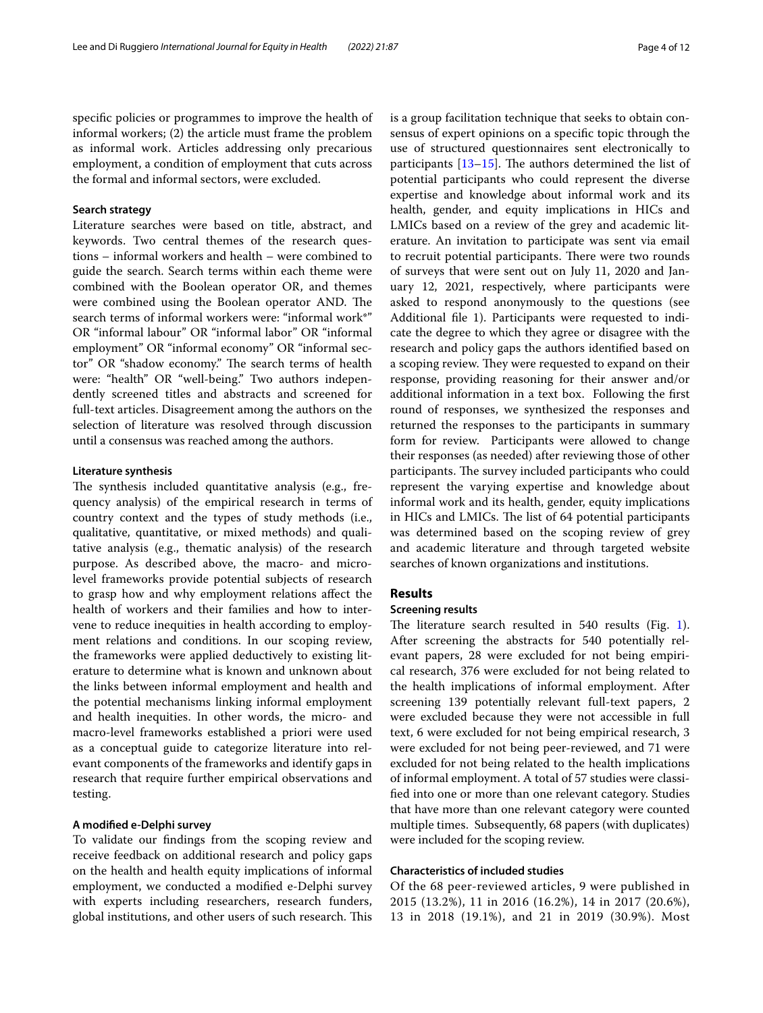specifc policies or programmes to improve the health of informal workers; (2) the article must frame the problem as informal work. Articles addressing only precarious employment, a condition of employment that cuts across the formal and informal sectors, were excluded.

## **Search strategy**

Literature searches were based on title, abstract, and keywords. Two central themes of the research questions – informal workers and health – were combined to guide the search. Search terms within each theme were combined with the Boolean operator OR, and themes were combined using the Boolean operator AND. The search terms of informal workers were: "informal work\*" OR "informal labour" OR "informal labor" OR "informal employment" OR "informal economy" OR "informal sector" OR "shadow economy." The search terms of health were: "health" OR "well-being." Two authors independently screened titles and abstracts and screened for full-text articles. Disagreement among the authors on the selection of literature was resolved through discussion until a consensus was reached among the authors.

#### **Literature synthesis**

The synthesis included quantitative analysis (e.g., frequency analysis) of the empirical research in terms of country context and the types of study methods (i.e., qualitative, quantitative, or mixed methods) and qualitative analysis (e.g., thematic analysis) of the research purpose. As described above, the macro- and microlevel frameworks provide potential subjects of research to grasp how and why employment relations afect the health of workers and their families and how to intervene to reduce inequities in health according to employment relations and conditions. In our scoping review, the frameworks were applied deductively to existing literature to determine what is known and unknown about the links between informal employment and health and the potential mechanisms linking informal employment and health inequities. In other words, the micro- and macro-level frameworks established a priori were used as a conceptual guide to categorize literature into relevant components of the frameworks and identify gaps in research that require further empirical observations and testing.

## **A modifed e‑Delphi survey**

To validate our fndings from the scoping review and receive feedback on additional research and policy gaps on the health and health equity implications of informal employment, we conducted a modifed e-Delphi survey with experts including researchers, research funders, global institutions, and other users of such research. This is a group facilitation technique that seeks to obtain consensus of expert opinions on a specifc topic through the use of structured questionnaires sent electronically to participants  $[13-15]$  $[13-15]$ . The authors determined the list of potential participants who could represent the diverse expertise and knowledge about informal work and its health, gender, and equity implications in HICs and LMICs based on a review of the grey and academic literature. An invitation to participate was sent via email to recruit potential participants. There were two rounds of surveys that were sent out on July 11, 2020 and January 12, 2021, respectively, where participants were asked to respond anonymously to the questions (see Additional fle 1). Participants were requested to indicate the degree to which they agree or disagree with the research and policy gaps the authors identifed based on a scoping review. They were requested to expand on their response, providing reasoning for their answer and/or additional information in a text box. Following the frst round of responses, we synthesized the responses and returned the responses to the participants in summary form for review. Participants were allowed to change their responses (as needed) after reviewing those of other participants. The survey included participants who could represent the varying expertise and knowledge about informal work and its health, gender, equity implications in HICs and LMICs. The list of 64 potential participants was determined based on the scoping review of grey and academic literature and through targeted website searches of known organizations and institutions.

## **Results**

## **Screening results**

The literature search resulted in  $540$  results (Fig. [1](#page-4-0)). After screening the abstracts for 540 potentially relevant papers, 28 were excluded for not being empirical research, 376 were excluded for not being related to the health implications of informal employment. After screening 139 potentially relevant full-text papers, 2 were excluded because they were not accessible in full text, 6 were excluded for not being empirical research, 3 were excluded for not being peer-reviewed, and 71 were excluded for not being related to the health implications of informal employment. A total of 57 studies were classifed into one or more than one relevant category. Studies that have more than one relevant category were counted multiple times. Subsequently, 68 papers (with duplicates) were included for the scoping review.

### **Characteristics of included studies**

Of the 68 peer-reviewed articles, 9 were published in 2015 (13.2%), 11 in 2016 (16.2%), 14 in 2017 (20.6%), 13 in 2018 (19.1%), and 21 in 2019 (30.9%). Most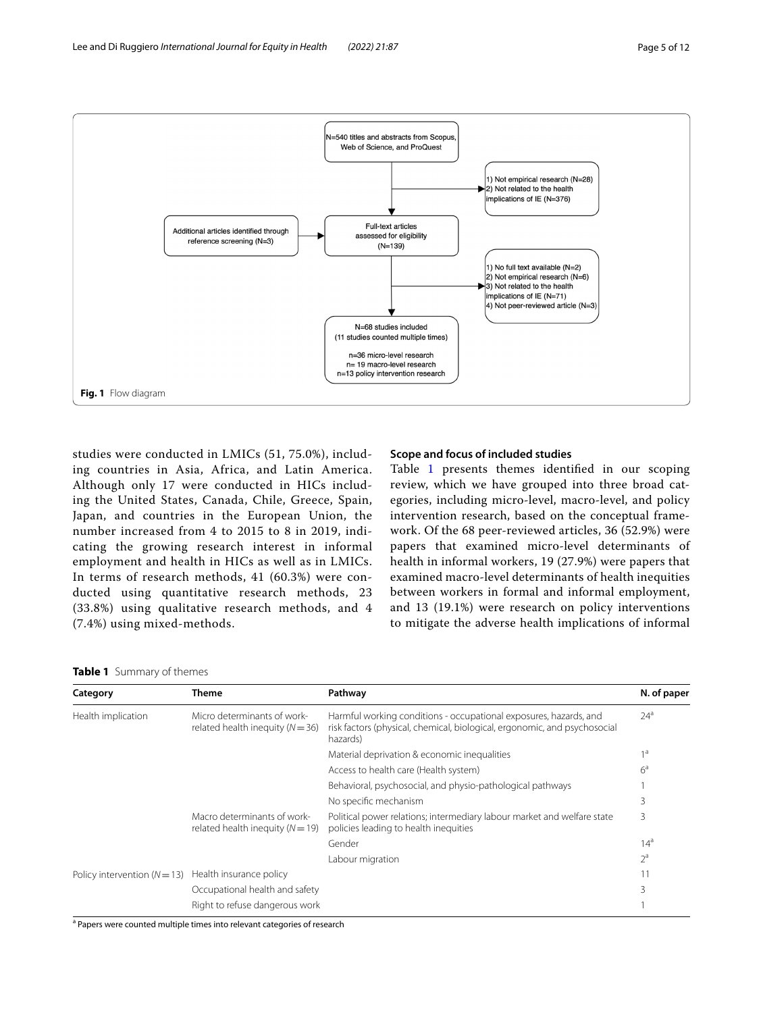

<span id="page-4-0"></span>studies were conducted in LMICs (51, 75.0%), including countries in Asia, Africa, and Latin America. Although only 17 were conducted in HICs including the United States, Canada, Chile, Greece, Spain, Japan, and countries in the European Union, the number increased from 4 to 2015 to 8 in 2019, indicating the growing research interest in informal employment and health in HICs as well as in LMICs. In terms of research methods, 41 (60.3%) were conducted using quantitative research methods, 23 (33.8%) using qualitative research methods, and 4 (7.4%) using mixed-methods.

## **Scope and focus of included studies**

Table [1](#page-4-1) presents themes identified in our scoping review, which we have grouped into three broad categories, including micro-level, macro-level, and policy intervention research, based on the conceptual framework. Of the 68 peer-reviewed articles, 36 (52.9%) were papers that examined micro-level determinants of health in informal workers, 19 (27.9%) were papers that examined macro-level determinants of health inequities between workers in formal and informal employment, and 13 (19.1%) were research on policy interventions to mitigate the adverse health implications of informal

<span id="page-4-1"></span>

|  |  | Table 1 Summary of themes |
|--|--|---------------------------|
|--|--|---------------------------|

| Category                       | <b>Theme</b>                                                        | Pathway                                                                                                                                                    | N. of paper     |
|--------------------------------|---------------------------------------------------------------------|------------------------------------------------------------------------------------------------------------------------------------------------------------|-----------------|
| Health implication             | Micro determinants of work-<br>related health inequity ( $N = 36$ ) | Harmful working conditions - occupational exposures, hazards, and<br>risk factors (physical, chemical, biological, ergonomic, and psychosocial<br>hazards) | $24^a$          |
|                                |                                                                     | Material deprivation & economic inequalities                                                                                                               | 1a              |
|                                |                                                                     | Access to health care (Health system)                                                                                                                      | $6^a$           |
|                                |                                                                     | Behavioral, psychosocial, and physio-pathological pathways                                                                                                 |                 |
|                                |                                                                     | No specific mechanism                                                                                                                                      | 3               |
|                                | Macro determinants of work-<br>related health inequity $(N = 19)$   | Political power relations; intermediary labour market and welfare state<br>policies leading to health inequities                                           | 3               |
|                                |                                                                     | Gender                                                                                                                                                     | 14 <sup>a</sup> |
|                                |                                                                     | Labour migration                                                                                                                                           | $2^a$           |
| Policy intervention $(N = 13)$ | Health insurance policy                                             |                                                                                                                                                            | 11              |
|                                | Occupational health and safety                                      |                                                                                                                                                            | 3               |
|                                | Right to refuse dangerous work                                      |                                                                                                                                                            |                 |

<sup>a</sup> Papers were counted multiple times into relevant categories of research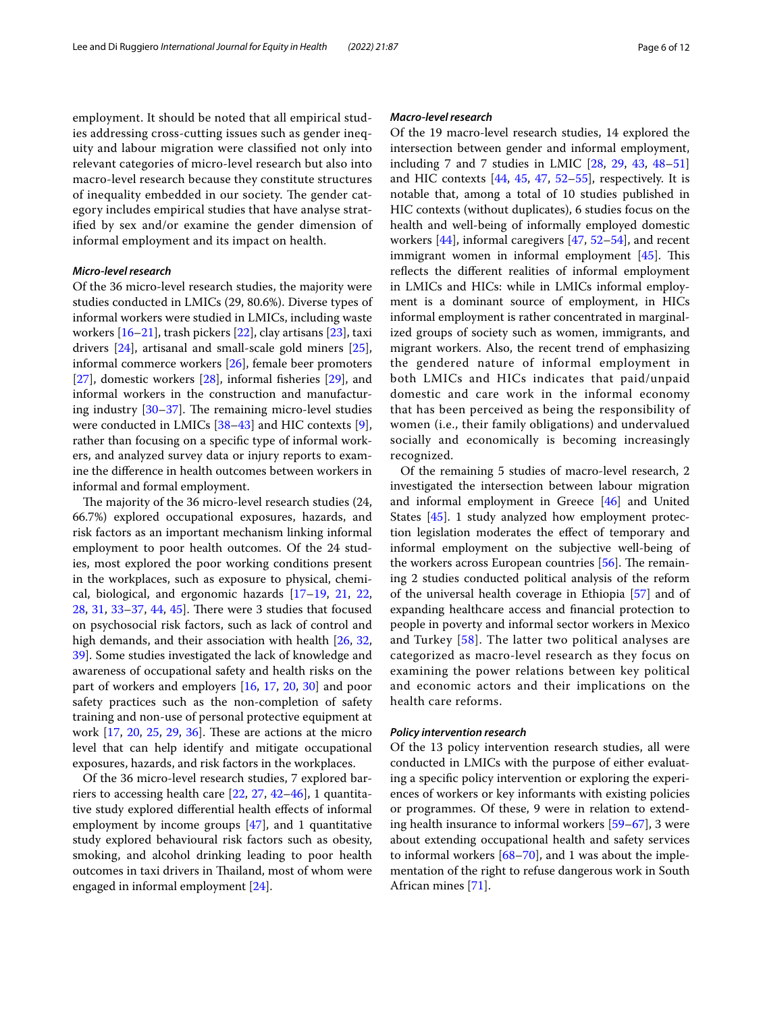employment. It should be noted that all empirical studies addressing cross-cutting issues such as gender inequity and labour migration were classifed not only into relevant categories of micro-level research but also into macro-level research because they constitute structures of inequality embedded in our society. The gender category includes empirical studies that have analyse stratifed by sex and/or examine the gender dimension of informal employment and its impact on health.

## *Micro‑level research*

Of the 36 micro-level research studies, the majority were studies conducted in LMICs (29, 80.6%). Diverse types of informal workers were studied in LMICs, including waste workers [[16–](#page-10-14)[21](#page-10-15)], trash pickers [\[22](#page-10-16)], clay artisans [[23\]](#page-10-17), taxi drivers [\[24\]](#page-10-18), artisanal and small-scale gold miners [\[25](#page-10-19)], informal commerce workers [\[26\]](#page-10-20), female beer promoters [[27\]](#page-10-21), domestic workers [[28\]](#page-11-0), informal fsheries [[29](#page-11-1)], and informal workers in the construction and manufacturing industry  $[30-37]$  $[30-37]$  $[30-37]$ . The remaining micro-level studies were conducted in LMICs [\[38–](#page-11-4)[43\]](#page-11-5) and HIC contexts [\[9](#page-10-8)], rather than focusing on a specifc type of informal workers, and analyzed survey data or injury reports to examine the diference in health outcomes between workers in informal and formal employment.

The majority of the 36 micro-level research studies (24, 66.7%) explored occupational exposures, hazards, and risk factors as an important mechanism linking informal employment to poor health outcomes. Of the 24 studies, most explored the poor working conditions present in the workplaces, such as exposure to physical, chemical, biological, and ergonomic hazards [\[17](#page-10-22)[–19,](#page-10-23) [21,](#page-10-15) [22](#page-10-16),  $28, 31, 33-37, 44, 45$  $28, 31, 33-37, 44, 45$  $28, 31, 33-37, 44, 45$  $28, 31, 33-37, 44, 45$  $28, 31, 33-37, 44, 45$  $28, 31, 33-37, 44, 45$  $28, 31, 33-37, 44, 45$  $28, 31, 33-37, 44, 45$ . There were 3 studies that focused on psychosocial risk factors, such as lack of control and high demands, and their association with health [\[26](#page-10-20), [32](#page-11-10), [39\]](#page-11-11). Some studies investigated the lack of knowledge and awareness of occupational safety and health risks on the part of workers and employers [[16](#page-10-14), [17,](#page-10-22) [20,](#page-10-24) [30](#page-11-2)] and poor safety practices such as the non-completion of safety training and non-use of personal protective equipment at work  $[17, 20, 25, 29, 36]$  $[17, 20, 25, 29, 36]$  $[17, 20, 25, 29, 36]$  $[17, 20, 25, 29, 36]$  $[17, 20, 25, 29, 36]$  $[17, 20, 25, 29, 36]$  $[17, 20, 25, 29, 36]$  $[17, 20, 25, 29, 36]$  $[17, 20, 25, 29, 36]$  $[17, 20, 25, 29, 36]$  $[17, 20, 25, 29, 36]$ . These are actions at the micro level that can help identify and mitigate occupational exposures, hazards, and risk factors in the workplaces.

Of the 36 micro-level research studies, 7 explored barriers to accessing health care [[22](#page-10-16), [27](#page-10-21), [42](#page-11-13)[–46\]](#page-11-14), 1 quantitative study explored diferential health efects of informal employment by income groups [[47\]](#page-11-15), and 1 quantitative study explored behavioural risk factors such as obesity, smoking, and alcohol drinking leading to poor health outcomes in taxi drivers in Thailand, most of whom were engaged in informal employment [[24](#page-10-18)].

#### *Macro‑level research*

Of the 19 macro-level research studies, 14 explored the intersection between gender and informal employment, including 7 and 7 studies in LMIC [\[28](#page-11-0), [29](#page-11-1), [43](#page-11-5), [48–](#page-11-16)[51](#page-11-17)] and HIC contexts  $[44, 45, 47, 52-55]$  $[44, 45, 47, 52-55]$  $[44, 45, 47, 52-55]$  $[44, 45, 47, 52-55]$  $[44, 45, 47, 52-55]$  $[44, 45, 47, 52-55]$  $[44, 45, 47, 52-55]$  $[44, 45, 47, 52-55]$ , respectively. It is notable that, among a total of 10 studies published in HIC contexts (without duplicates), 6 studies focus on the health and well-being of informally employed domestic workers [\[44](#page-11-8)], informal caregivers [\[47](#page-11-15), [52–](#page-11-18)[54\]](#page-11-20), and recent immigrant women in informal employment  $[45]$  $[45]$ . This refects the diferent realities of informal employment in LMICs and HICs: while in LMICs informal employment is a dominant source of employment, in HICs informal employment is rather concentrated in marginalized groups of society such as women, immigrants, and migrant workers. Also, the recent trend of emphasizing the gendered nature of informal employment in both LMICs and HICs indicates that paid/unpaid domestic and care work in the informal economy that has been perceived as being the responsibility of women (i.e., their family obligations) and undervalued socially and economically is becoming increasingly recognized.

Of the remaining 5 studies of macro-level research, 2 investigated the intersection between labour migration and informal employment in Greece [\[46\]](#page-11-14) and United States [\[45](#page-11-9)]. 1 study analyzed how employment protection legislation moderates the efect of temporary and informal employment on the subjective well-being of the workers across European countries  $[56]$ . The remaining 2 studies conducted political analysis of the reform of the universal health coverage in Ethiopia [\[57\]](#page-11-22) and of expanding healthcare access and fnancial protection to people in poverty and informal sector workers in Mexico and Turkey [[58\]](#page-11-23). The latter two political analyses are categorized as macro-level research as they focus on examining the power relations between key political and economic actors and their implications on the health care reforms.

#### *Policy intervention research*

Of the 13 policy intervention research studies, all were conducted in LMICs with the purpose of either evaluating a specifc policy intervention or exploring the experiences of workers or key informants with existing policies or programmes. Of these, 9 were in relation to extending health insurance to informal workers [[59–](#page-11-24)[67](#page-11-25)], 3 were about extending occupational health and safety services to informal workers [\[68](#page-11-26)[–70\]](#page-11-27), and 1 was about the implementation of the right to refuse dangerous work in South African mines [\[71\]](#page-11-28).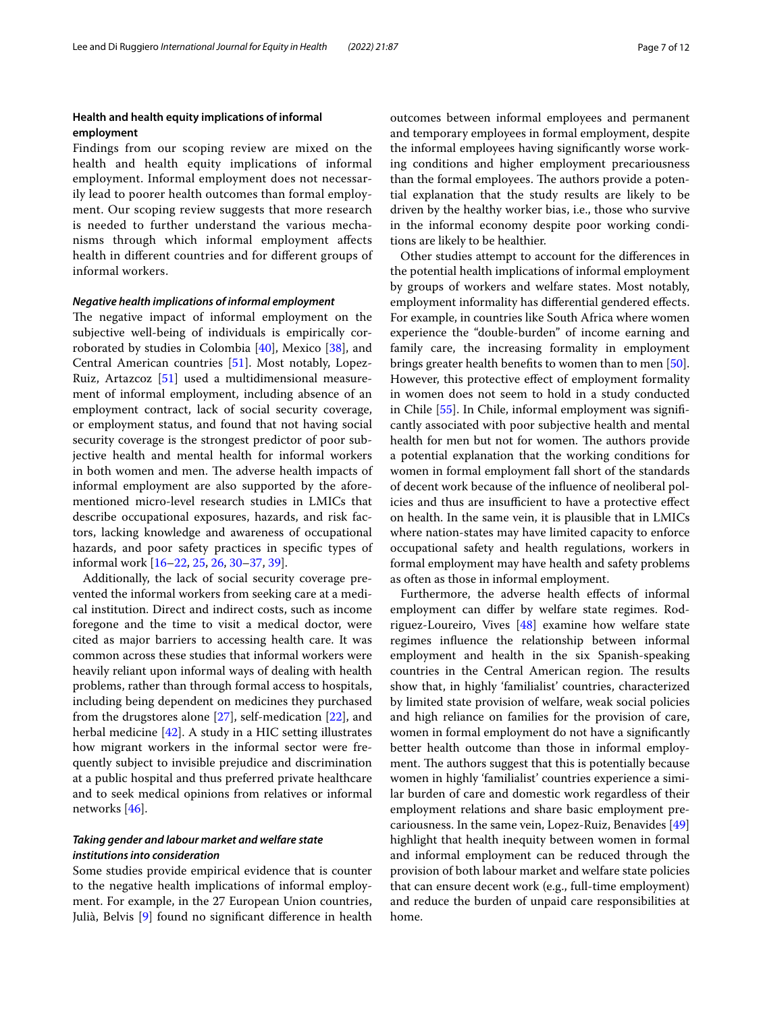## **Health and health equity implications of informal employment**

Findings from our scoping review are mixed on the health and health equity implications of informal employment. Informal employment does not necessarily lead to poorer health outcomes than formal employment. Our scoping review suggests that more research is needed to further understand the various mechanisms through which informal employment afects health in diferent countries and for diferent groups of informal workers.

#### *Negative health implications of informal employment*

The negative impact of informal employment on the subjective well-being of individuals is empirically corroborated by studies in Colombia [\[40\]](#page-11-29), Mexico [\[38\]](#page-11-4), and Central American countries [\[51](#page-11-17)]. Most notably, Lopez-Ruiz, Artazcoz [\[51](#page-11-17)] used a multidimensional measurement of informal employment, including absence of an employment contract, lack of social security coverage, or employment status, and found that not having social security coverage is the strongest predictor of poor subjective health and mental health for informal workers in both women and men. The adverse health impacts of informal employment are also supported by the aforementioned micro-level research studies in LMICs that describe occupational exposures, hazards, and risk factors, lacking knowledge and awareness of occupational hazards, and poor safety practices in specifc types of informal work [\[16](#page-10-14)[–22,](#page-10-16) [25](#page-10-19), [26,](#page-10-20) [30](#page-11-2)[–37,](#page-11-3) [39](#page-11-11)].

Additionally, the lack of social security coverage prevented the informal workers from seeking care at a medical institution. Direct and indirect costs, such as income foregone and the time to visit a medical doctor, were cited as major barriers to accessing health care. It was common across these studies that informal workers were heavily reliant upon informal ways of dealing with health problems, rather than through formal access to hospitals, including being dependent on medicines they purchased from the drugstores alone [[27\]](#page-10-21), self-medication [\[22](#page-10-16)], and herbal medicine [\[42\]](#page-11-13). A study in a HIC setting illustrates how migrant workers in the informal sector were frequently subject to invisible prejudice and discrimination at a public hospital and thus preferred private healthcare and to seek medical opinions from relatives or informal networks [\[46\]](#page-11-14).

## *Taking gender and labour market and welfare state institutions into consideration*

Some studies provide empirical evidence that is counter to the negative health implications of informal employment. For example, in the 27 European Union countries, Julià, Belvis [\[9](#page-10-8)] found no signifcant diference in health outcomes between informal employees and permanent and temporary employees in formal employment, despite the informal employees having signifcantly worse working conditions and higher employment precariousness than the formal employees. The authors provide a potential explanation that the study results are likely to be driven by the healthy worker bias, i.e., those who survive in the informal economy despite poor working conditions are likely to be healthier.

Other studies attempt to account for the diferences in the potential health implications of informal employment by groups of workers and welfare states. Most notably, employment informality has differential gendered effects. For example, in countries like South Africa where women experience the "double-burden" of income earning and family care, the increasing formality in employment brings greater health benefts to women than to men [\[50](#page-11-30)]. However, this protective efect of employment formality in women does not seem to hold in a study conducted in Chile [\[55](#page-11-19)]. In Chile, informal employment was signifcantly associated with poor subjective health and mental health for men but not for women. The authors provide a potential explanation that the working conditions for women in formal employment fall short of the standards of decent work because of the infuence of neoliberal policies and thus are insufficient to have a protective effect on health. In the same vein, it is plausible that in LMICs where nation-states may have limited capacity to enforce occupational safety and health regulations, workers in formal employment may have health and safety problems as often as those in informal employment.

Furthermore, the adverse health effects of informal employment can difer by welfare state regimes. Rodriguez-Loureiro, Vives [\[48\]](#page-11-16) examine how welfare state regimes infuence the relationship between informal employment and health in the six Spanish-speaking countries in the Central American region. The results show that, in highly 'familialist' countries, characterized by limited state provision of welfare, weak social policies and high reliance on families for the provision of care, women in formal employment do not have a signifcantly better health outcome than those in informal employment. The authors suggest that this is potentially because women in highly 'familialist' countries experience a similar burden of care and domestic work regardless of their employment relations and share basic employment precariousness. In the same vein, Lopez-Ruiz, Benavides [[49](#page-11-31)] highlight that health inequity between women in formal and informal employment can be reduced through the provision of both labour market and welfare state policies that can ensure decent work (e.g., full-time employment) and reduce the burden of unpaid care responsibilities at home.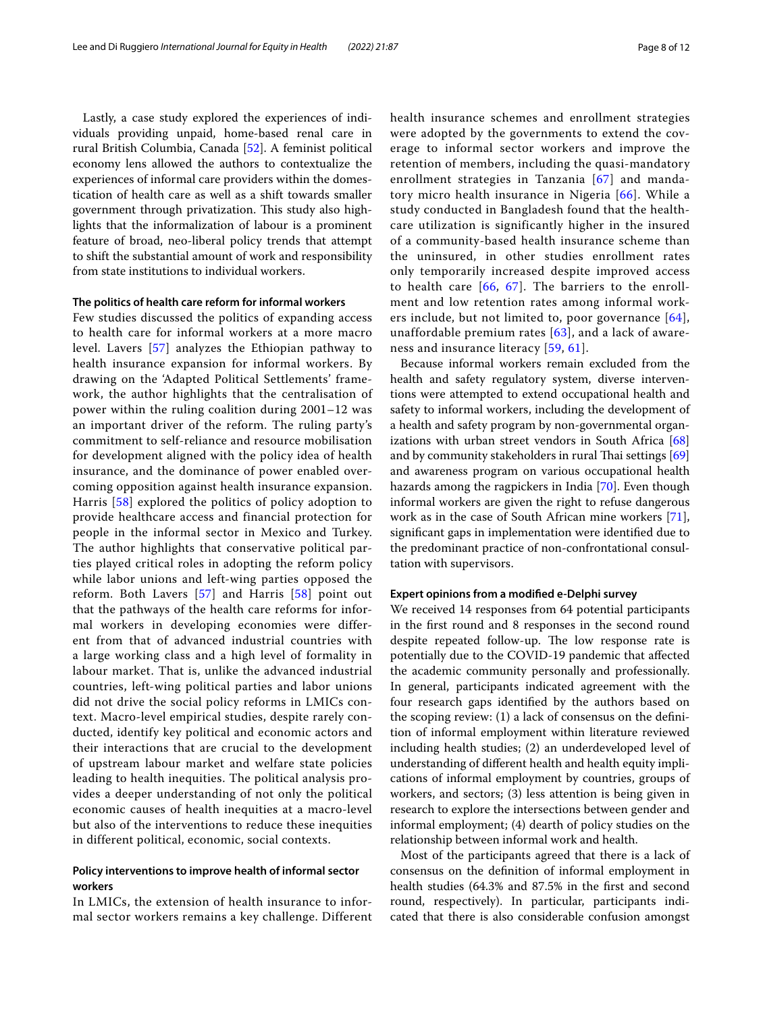Lastly, a case study explored the experiences of individuals providing unpaid, home-based renal care in rural British Columbia, Canada [[52\]](#page-11-18). A feminist political economy lens allowed the authors to contextualize the experiences of informal care providers within the domestication of health care as well as a shift towards smaller government through privatization. This study also highlights that the informalization of labour is a prominent feature of broad, neo-liberal policy trends that attempt to shift the substantial amount of work and responsibility from state institutions to individual workers.

#### **The politics of health care reform for informal workers**

Few studies discussed the politics of expanding access to health care for informal workers at a more macro level. Lavers [[57](#page-11-22)] analyzes the Ethiopian pathway to health insurance expansion for informal workers. By drawing on the 'Adapted Political Settlements' framework, the author highlights that the centralisation of power within the ruling coalition during 2001–12 was an important driver of the reform. The ruling party's commitment to self-reliance and resource mobilisation for development aligned with the policy idea of health insurance, and the dominance of power enabled overcoming opposition against health insurance expansion. Harris [[58\]](#page-11-23) explored the politics of policy adoption to provide healthcare access and financial protection for people in the informal sector in Mexico and Turkey. The author highlights that conservative political parties played critical roles in adopting the reform policy while labor unions and left-wing parties opposed the reform. Both Lavers [[57](#page-11-22)] and Harris [[58](#page-11-23)] point out that the pathways of the health care reforms for informal workers in developing economies were different from that of advanced industrial countries with a large working class and a high level of formality in labour market. That is, unlike the advanced industrial countries, left-wing political parties and labor unions did not drive the social policy reforms in LMICs context. Macro-level empirical studies, despite rarely conducted, identify key political and economic actors and their interactions that are crucial to the development of upstream labour market and welfare state policies leading to health inequities. The political analysis provides a deeper understanding of not only the political economic causes of health inequities at a macro-level but also of the interventions to reduce these inequities in different political, economic, social contexts.

## **Policy interventions to improve health of informal sector workers**

In LMICs, the extension of health insurance to informal sector workers remains a key challenge. Different health insurance schemes and enrollment strategies were adopted by the governments to extend the coverage to informal sector workers and improve the retention of members, including the quasi-mandatory enrollment strategies in Tanzania [[67](#page-11-25)] and mandatory micro health insurance in Nigeria [[66](#page-11-32)]. While a study conducted in Bangladesh found that the healthcare utilization is significantly higher in the insured of a community-based health insurance scheme than the uninsured, in other studies enrollment rates only temporarily increased despite improved access to health care  $[66, 67]$  $[66, 67]$  $[66, 67]$  $[66, 67]$  $[66, 67]$ . The barriers to the enrollment and low retention rates among informal workers include, but not limited to, poor governance [\[64\]](#page-11-33), unaffordable premium rates  $[63]$  $[63]$ , and a lack of awareness and insurance literacy [[59](#page-11-24), [61\]](#page-11-35).

Because informal workers remain excluded from the health and safety regulatory system, diverse interventions were attempted to extend occupational health and safety to informal workers, including the development of a health and safety program by non-governmental organizations with urban street vendors in South Africa [[68](#page-11-26)] and by community stakeholders in rural Thai settings  $[69]$  $[69]$  $[69]$ and awareness program on various occupational health hazards among the ragpickers in India [[70\]](#page-11-27). Even though informal workers are given the right to refuse dangerous work as in the case of South African mine workers [\[71](#page-11-28)], signifcant gaps in implementation were identifed due to the predominant practice of non-confrontational consultation with supervisors.

## **Expert opinions from a modifed e‑Delphi survey**

We received 14 responses from 64 potential participants in the frst round and 8 responses in the second round despite repeated follow-up. The low response rate is potentially due to the COVID-19 pandemic that afected the academic community personally and professionally. In general, participants indicated agreement with the four research gaps identifed by the authors based on the scoping review: (1) a lack of consensus on the defnition of informal employment within literature reviewed including health studies; (2) an underdeveloped level of understanding of diferent health and health equity implications of informal employment by countries, groups of workers, and sectors; (3) less attention is being given in research to explore the intersections between gender and informal employment; (4) dearth of policy studies on the relationship between informal work and health.

Most of the participants agreed that there is a lack of consensus on the defnition of informal employment in health studies (64.3% and 87.5% in the frst and second round, respectively). In particular, participants indicated that there is also considerable confusion amongst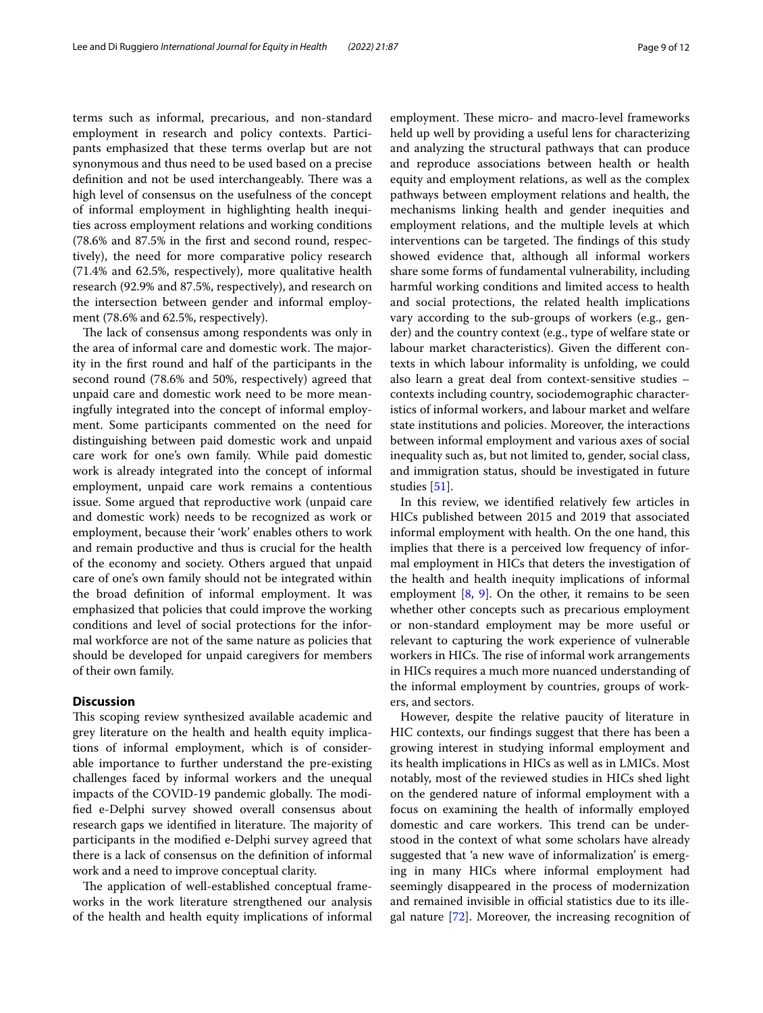terms such as informal, precarious, and non-standard employment in research and policy contexts. Participants emphasized that these terms overlap but are not synonymous and thus need to be used based on a precise definition and not be used interchangeably. There was a high level of consensus on the usefulness of the concept of informal employment in highlighting health inequities across employment relations and working conditions (78.6% and 87.5% in the frst and second round, respectively), the need for more comparative policy research (71.4% and 62.5%, respectively), more qualitative health research (92.9% and 87.5%, respectively), and research on the intersection between gender and informal employment (78.6% and 62.5%, respectively).

The lack of consensus among respondents was only in the area of informal care and domestic work. The majority in the frst round and half of the participants in the second round (78.6% and 50%, respectively) agreed that unpaid care and domestic work need to be more meaningfully integrated into the concept of informal employment. Some participants commented on the need for distinguishing between paid domestic work and unpaid care work for one's own family. While paid domestic work is already integrated into the concept of informal employment, unpaid care work remains a contentious issue. Some argued that reproductive work (unpaid care and domestic work) needs to be recognized as work or employment, because their 'work' enables others to work and remain productive and thus is crucial for the health of the economy and society. Others argued that unpaid care of one's own family should not be integrated within the broad defnition of informal employment. It was emphasized that policies that could improve the working conditions and level of social protections for the informal workforce are not of the same nature as policies that should be developed for unpaid caregivers for members of their own family.

#### **Discussion**

This scoping review synthesized available academic and grey literature on the health and health equity implications of informal employment, which is of considerable importance to further understand the pre-existing challenges faced by informal workers and the unequal impacts of the COVID-19 pandemic globally. The modifed e-Delphi survey showed overall consensus about research gaps we identified in literature. The majority of participants in the modifed e-Delphi survey agreed that there is a lack of consensus on the defnition of informal work and a need to improve conceptual clarity.

The application of well-established conceptual frameworks in the work literature strengthened our analysis of the health and health equity implications of informal employment. These micro- and macro-level frameworks held up well by providing a useful lens for characterizing and analyzing the structural pathways that can produce and reproduce associations between health or health equity and employment relations, as well as the complex pathways between employment relations and health, the mechanisms linking health and gender inequities and employment relations, and the multiple levels at which interventions can be targeted. The findings of this study showed evidence that, although all informal workers share some forms of fundamental vulnerability, including harmful working conditions and limited access to health and social protections, the related health implications vary according to the sub-groups of workers (e.g., gender) and the country context (e.g., type of welfare state or labour market characteristics). Given the diferent contexts in which labour informality is unfolding, we could also learn a great deal from context-sensitive studies – contexts including country, sociodemographic characteristics of informal workers, and labour market and welfare state institutions and policies. Moreover, the interactions between informal employment and various axes of social inequality such as, but not limited to, gender, social class, and immigration status, should be investigated in future studies [[51\]](#page-11-17).

In this review, we identifed relatively few articles in HICs published between 2015 and 2019 that associated informal employment with health. On the one hand, this implies that there is a perceived low frequency of informal employment in HICs that deters the investigation of the health and health inequity implications of informal employment  $[8, 9]$  $[8, 9]$  $[8, 9]$ . On the other, it remains to be seen whether other concepts such as precarious employment or non-standard employment may be more useful or relevant to capturing the work experience of vulnerable workers in HICs. The rise of informal work arrangements in HICs requires a much more nuanced understanding of the informal employment by countries, groups of workers, and sectors.

However, despite the relative paucity of literature in HIC contexts, our fndings suggest that there has been a growing interest in studying informal employment and its health implications in HICs as well as in LMICs. Most notably, most of the reviewed studies in HICs shed light on the gendered nature of informal employment with a focus on examining the health of informally employed domestic and care workers. This trend can be understood in the context of what some scholars have already suggested that 'a new wave of informalization' is emerging in many HICs where informal employment had seemingly disappeared in the process of modernization and remained invisible in official statistics due to its illegal nature [\[72](#page-11-37)]. Moreover, the increasing recognition of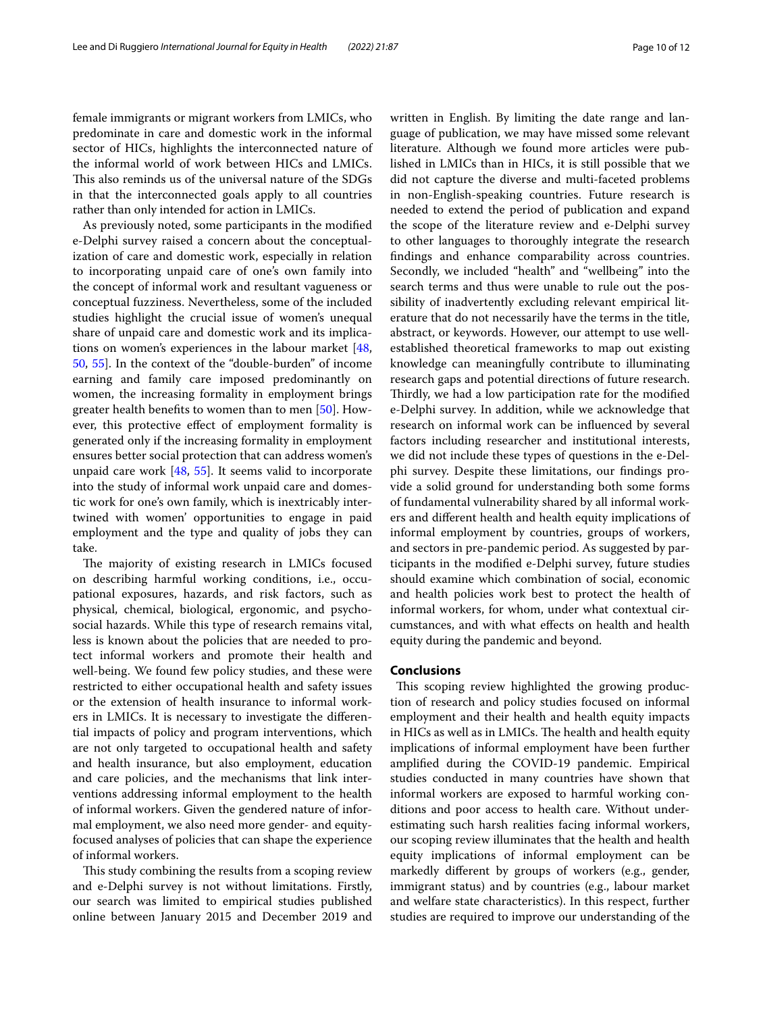female immigrants or migrant workers from LMICs, who predominate in care and domestic work in the informal sector of HICs, highlights the interconnected nature of the informal world of work between HICs and LMICs. This also reminds us of the universal nature of the SDGs in that the interconnected goals apply to all countries rather than only intended for action in LMICs.

As previously noted, some participants in the modifed e-Delphi survey raised a concern about the conceptualization of care and domestic work, especially in relation to incorporating unpaid care of one's own family into the concept of informal work and resultant vagueness or conceptual fuzziness. Nevertheless, some of the included studies highlight the crucial issue of women's unequal share of unpaid care and domestic work and its implications on women's experiences in the labour market [\[48](#page-11-16), [50,](#page-11-30) [55\]](#page-11-19). In the context of the "double-burden" of income earning and family care imposed predominantly on women, the increasing formality in employment brings greater health benefts to women than to men [[50](#page-11-30)]. However, this protective efect of employment formality is generated only if the increasing formality in employment ensures better social protection that can address women's unpaid care work  $[48, 55]$  $[48, 55]$  $[48, 55]$  $[48, 55]$ . It seems valid to incorporate into the study of informal work unpaid care and domestic work for one's own family, which is inextricably intertwined with women' opportunities to engage in paid employment and the type and quality of jobs they can take.

The majority of existing research in LMICs focused on describing harmful working conditions, i.e., occupational exposures, hazards, and risk factors, such as physical, chemical, biological, ergonomic, and psychosocial hazards. While this type of research remains vital, less is known about the policies that are needed to protect informal workers and promote their health and well-being. We found few policy studies, and these were restricted to either occupational health and safety issues or the extension of health insurance to informal workers in LMICs. It is necessary to investigate the diferential impacts of policy and program interventions, which are not only targeted to occupational health and safety and health insurance, but also employment, education and care policies, and the mechanisms that link interventions addressing informal employment to the health of informal workers. Given the gendered nature of informal employment, we also need more gender- and equityfocused analyses of policies that can shape the experience of informal workers.

This study combining the results from a scoping review and e-Delphi survey is not without limitations. Firstly, our search was limited to empirical studies published online between January 2015 and December 2019 and written in English. By limiting the date range and language of publication, we may have missed some relevant literature. Although we found more articles were published in LMICs than in HICs, it is still possible that we did not capture the diverse and multi-faceted problems in non-English-speaking countries. Future research is needed to extend the period of publication and expand the scope of the literature review and e-Delphi survey to other languages to thoroughly integrate the research fndings and enhance comparability across countries. Secondly, we included "health" and "wellbeing" into the search terms and thus were unable to rule out the possibility of inadvertently excluding relevant empirical literature that do not necessarily have the terms in the title, abstract, or keywords. However, our attempt to use wellestablished theoretical frameworks to map out existing knowledge can meaningfully contribute to illuminating research gaps and potential directions of future research. Thirdly, we had a low participation rate for the modified e-Delphi survey. In addition, while we acknowledge that research on informal work can be infuenced by several factors including researcher and institutional interests, we did not include these types of questions in the e-Delphi survey. Despite these limitations, our fndings provide a solid ground for understanding both some forms of fundamental vulnerability shared by all informal workers and diferent health and health equity implications of informal employment by countries, groups of workers, and sectors in pre-pandemic period. As suggested by participants in the modifed e-Delphi survey, future studies should examine which combination of social, economic and health policies work best to protect the health of informal workers, for whom, under what contextual circumstances, and with what efects on health and health equity during the pandemic and beyond.

#### **Conclusions**

This scoping review highlighted the growing production of research and policy studies focused on informal employment and their health and health equity impacts in HICs as well as in LMICs. The health and health equity implications of informal employment have been further amplifed during the COVID-19 pandemic. Empirical studies conducted in many countries have shown that informal workers are exposed to harmful working conditions and poor access to health care. Without underestimating such harsh realities facing informal workers, our scoping review illuminates that the health and health equity implications of informal employment can be markedly diferent by groups of workers (e.g., gender, immigrant status) and by countries (e.g., labour market and welfare state characteristics). In this respect, further studies are required to improve our understanding of the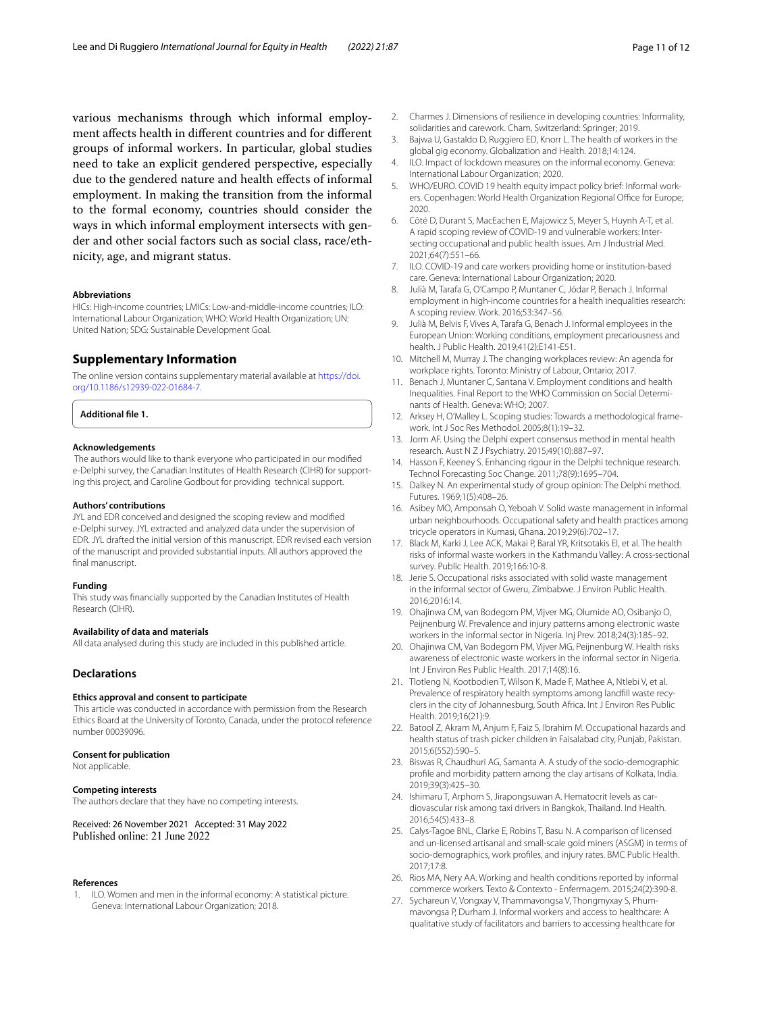various mechanisms through which informal employment afects health in diferent countries and for diferent groups of informal workers. In particular, global studies need to take an explicit gendered perspective, especially due to the gendered nature and health efects of informal employment. In making the transition from the informal to the formal economy, countries should consider the ways in which informal employment intersects with gender and other social factors such as social class, race/ethnicity, age, and migrant status.

#### **Abbreviations**

HICs: High-income countries; LMICs: Low-and-middle-income countries; ILO: International Labour Organization; WHO: World Health Organization; UN: United Nation; SDG: Sustainable Development Goal.

#### **Supplementary Information**

The online version contains supplementary material available at [https://doi.](https://doi.org/10.1186/s12939-022-01684-7) [org/10.1186/s12939-022-01684-7](https://doi.org/10.1186/s12939-022-01684-7).

**Additional fle 1.**

#### **Acknowledgements**

 The authors would like to thank everyone who participated in our modifed e-Delphi survey, the Canadian Institutes of Health Research (CIHR) for supporting this project, and Caroline Godbout for providing technical support.

#### **Authors' contributions**

JYL and EDR conceived and designed the scoping review and modifed e-Delphi survey. JYL extracted and analyzed data under the supervision of EDR. JYL drafted the initial version of this manuscript. EDR revised each version of the manuscript and provided substantial inputs. All authors approved the final manuscript.

#### **Funding**

This study was fnancially supported by the Canadian Institutes of Health Research (CIHR).

#### **Availability of data and materials**

All data analysed during this study are included in this published article.

#### **Declarations**

#### **Ethics approval and consent to participate**

 This article was conducted in accordance with permission from the Research Ethics Board at the University of Toronto, Canada, under the protocol reference number 00039096.

#### **Consent for publication**

Not applicable.

#### **Competing interests**

The authors declare that they have no competing interests.

Received: 26 November 2021 Accepted: 31 May 2022 Published online: 21 June 2022

#### **References**

<span id="page-10-0"></span>1. ILO. Women and men in the informal economy: A statistical picture. Geneva: International Labour Organization; 2018.

- <span id="page-10-1"></span>2. Charmes J. Dimensions of resilience in developing countries: Informality, solidarities and carework. Cham, Switzerland: Springer; 2019.
- <span id="page-10-2"></span>3. Bajwa U, Gastaldo D, Ruggiero ED, Knorr L. The health of workers in the global gig economy. Globalization and Health. 2018;14:124.
- <span id="page-10-3"></span>4. ILO. Impact of lockdown measures on the informal economy. Geneva: International Labour Organization; 2020.
- <span id="page-10-4"></span>5. WHO/EURO. COVID 19 health equity impact policy brief: Informal workers. Copenhagen: World Health Organization Regional Office for Europe; 2020.
- <span id="page-10-5"></span>6. Côté D, Durant S, MacEachen E, Majowicz S, Meyer S, Huynh A-T, et al. A rapid scoping review of COVID-19 and vulnerable workers: Intersecting occupational and public health issues. Am J Industrial Med. 2021;64(7):551–66.
- <span id="page-10-6"></span>7. ILO. COVID-19 and care workers providing home or institution-based care. Geneva: International Labour Organization; 2020.
- <span id="page-10-7"></span>8. Julià M, Tarafa G, O'Campo P, Muntaner C, Jódar P, Benach J. Informal employment in high-income countries for a health inequalities research: A scoping review. Work. 2016;53:347–56.
- <span id="page-10-8"></span>9. Julià M, Belvis F, Vives A, Tarafa G, Benach J. Informal employees in the European Union: Working conditions, employment precariousness and health. J Public Health. 2019;41(2):E141-E51.
- <span id="page-10-9"></span>10. Mitchell M, Murray J. The changing workplaces review: An agenda for workplace rights. Toronto: Ministry of Labour, Ontario; 2017.
- <span id="page-10-10"></span>11. Benach J, Muntaner C, Santana V. Employment conditions and health Inequalities. Final Report to the WHO Commission on Social Determinants of Health. Geneva: WHO; 2007.
- <span id="page-10-11"></span>12. Arksey H, O'Malley L. Scoping studies: Towards a methodological framework. Int J Soc Res Methodol. 2005;8(1):19–32.
- <span id="page-10-12"></span>13. Jorm AF. Using the Delphi expert consensus method in mental health research. Aust N Z J Psychiatry. 2015;49(10):887–97.
- 14. Hasson F, Keeney S. Enhancing rigour in the Delphi technique research. Technol Forecasting Soc Change. 2011;78(9):1695–704.
- <span id="page-10-13"></span>15. Dalkey N. An experimental study of group opinion: The Delphi method. Futures. 1969;1(5):408–26.
- <span id="page-10-14"></span>16. Asibey MO, Amponsah O, Yeboah V. Solid waste management in informal urban neighbourhoods. Occupational safety and health practices among tricycle operators in Kumasi, Ghana. 2019;29(6):702–17.
- <span id="page-10-22"></span>17. Black M, Karki J, Lee ACK, Makai P, Baral YR, Kritsotakis EI, et al. The health risks of informal waste workers in the Kathmandu Valley: A cross-sectional survey. Public Health. 2019;166:10-8.
- 18. Jerie S. Occupational risks associated with solid waste management in the informal sector of Gweru, Zimbabwe. J Environ Public Health. 2016;2016:14.
- <span id="page-10-23"></span>19. Ohajinwa CM, van Bodegom PM, Vijver MG, Olumide AO, Osibanjo O, Peijnenburg W. Prevalence and injury patterns among electronic waste workers in the informal sector in Nigeria. Inj Prev. 2018;24(3):185–92.
- <span id="page-10-24"></span>20. Ohajinwa CM, Van Bodegom PM, Vijver MG, Peijnenburg W. Health risks awareness of electronic waste workers in the informal sector in Nigeria. Int J Environ Res Public Health. 2017;14(8):16.
- <span id="page-10-15"></span>21. Tlotleng N, Kootbodien T, Wilson K, Made F, Mathee A, Ntlebi V, et al. Prevalence of respiratory health symptoms among landfll waste recyclers in the city of Johannesburg, South Africa. Int J Environ Res Public Health. 2019;16(21):9.
- <span id="page-10-16"></span>22. Batool Z, Akram M, Anjum F, Faiz S, Ibrahim M. Occupational hazards and health status of trash picker children in Faisalabad city, Punjab, Pakistan. 2015;6(5S2):590–5.
- <span id="page-10-17"></span>23. Biswas R, Chaudhuri AG, Samanta A. A study of the socio-demographic profle and morbidity pattern among the clay artisans of Kolkata, India. 2019;39(3):425–30.
- <span id="page-10-18"></span>24. Ishimaru T, Arphorn S, Jirapongsuwan A. Hematocrit levels as cardiovascular risk among taxi drivers in Bangkok, Thailand. Ind Health. 2016;54(5):433–8.
- <span id="page-10-19"></span>25. Calys-Tagoe BNL, Clarke E, Robins T, Basu N. A comparison of licensed and un-licensed artisanal and small-scale gold miners (ASGM) in terms of socio-demographics, work profles, and injury rates. BMC Public Health. 2017;17:8.
- <span id="page-10-20"></span>26. Rios MA, Nery AA. Working and health conditions reported by informal commerce workers. Texto & Contexto - Enfermagem. 2015;24(2):390-8.
- <span id="page-10-21"></span>27. Sychareun V, Vongxay V, Thammavongsa V, Thongmyxay S, Phummavongsa P, Durham J. Informal workers and access to healthcare: A qualitative study of facilitators and barriers to accessing healthcare for